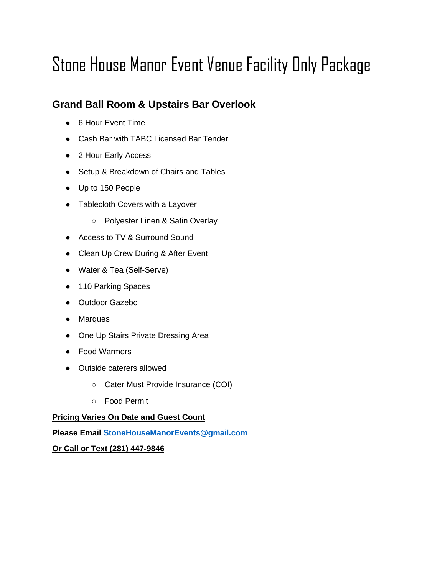# Stone House Manor Event Venue Facility Only Package

## **Grand Ball Room & Upstairs Bar Overlook**

- 6 Hour Event Time
- Cash Bar with TABC Licensed Bar Tender
- 2 Hour Early Access
- Setup & Breakdown of Chairs and Tables
- Up to 150 People
- Tablecloth Covers with a Layover
	- Polyester Linen & Satin Overlay
- Access to TV & Surround Sound
- Clean Up Crew During & After Event
- Water & Tea (Self-Serve)
- 110 Parking Spaces
- Outdoor Gazebo
- Marques
- One Up Stairs Private Dressing Area
- Food Warmers
- Outside caterers allowed
	- Cater Must Provide Insurance (COI)
	- Food Permit

#### **Pricing Varies On Date and Guest Count**

**Please Email [StoneHouseManorEvents@gmail.com](mailto:StoneHouseManorEvents@gmail.com)**

**Or Call or Text (281) 447-9846**